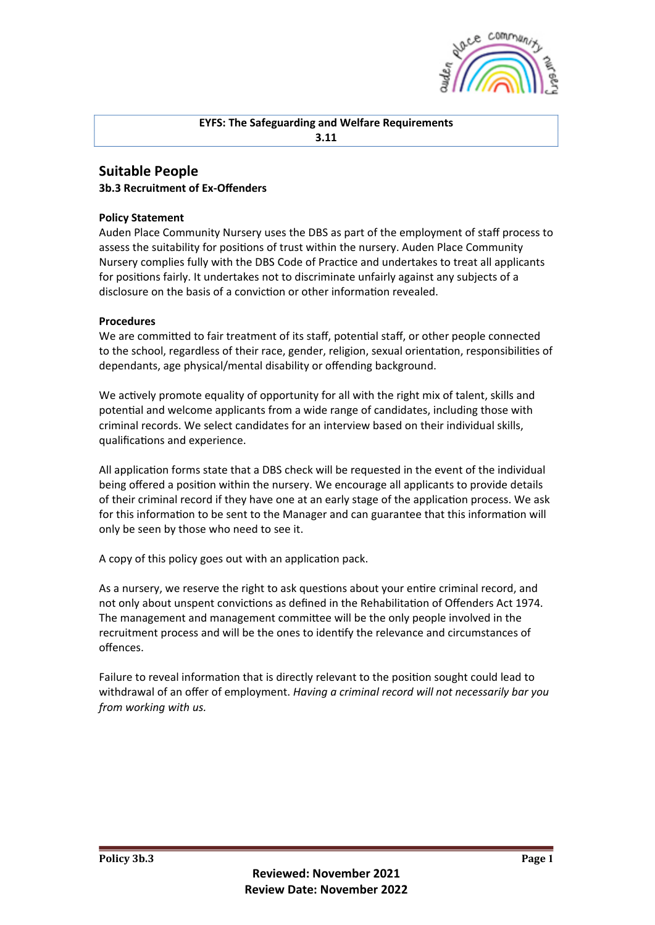

## **EYFS: The Safeguarding and Welfare Requirements 3.11**

## **Suitable People 3b.3 Recruitment of Ex-Offenders**

## **Policy Statement**

Auden Place Community Nursery uses the DBS as part of the employment of staff process to assess the suitability for positions of trust within the nursery. Auden Place Community Nursery complies fully with the DBS Code of Practice and undertakes to treat all applicants for positions fairly. It undertakes not to discriminate unfairly against any subjects of a disclosure on the basis of a conviction or other information revealed.

## **Procedures**

We are committed to fair treatment of its staff, potential staff, or other people connected to the school, regardless of their race, gender, religion, sexual orientation, responsibilities of dependants, age physical/mental disability or offending background.

We actively promote equality of opportunity for all with the right mix of talent, skills and potential and welcome applicants from a wide range of candidates, including those with criminal records. We select candidates for an interview based on their individual skills, qualifications and experience.

All application forms state that a DBS check will be requested in the event of the individual being offered a position within the nursery. We encourage all applicants to provide details of their criminal record if they have one at an early stage of the application process. We ask for this information to be sent to the Manager and can guarantee that this information will only be seen by those who need to see it.

A copy of this policy goes out with an application pack.

As a nursery, we reserve the right to ask questions about your entire criminal record, and not only about unspent convictions as defined in the Rehabilitation of Offenders Act 1974. The management and management committee will be the only people involved in the recruitment process and will be the ones to identify the relevance and circumstances of offences.

Failure to reveal information that is directly relevant to the position sought could lead to withdrawal of an offer of employment. *Having a criminal record will not necessarily bar you from* working with us.